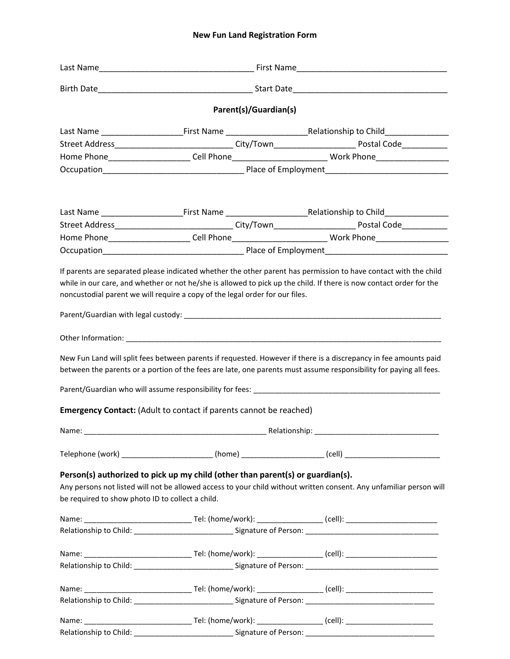## **New Fun Land Registration Form**

|                                                  | Parent(s)/Guardian(s)                                                          |                                                                                                                                                                                                                                        |
|--------------------------------------------------|--------------------------------------------------------------------------------|----------------------------------------------------------------------------------------------------------------------------------------------------------------------------------------------------------------------------------------|
|                                                  |                                                                                | Last Name ____________________________First Name _______________________________Relationship to Child_______________                                                                                                                   |
|                                                  |                                                                                | Street Address________________________________City/Town__________________________ Postal Code____________                                                                                                                              |
|                                                  |                                                                                | Home Phone__________________________Cell Phone______________________________Work Phone________________________                                                                                                                         |
|                                                  |                                                                                |                                                                                                                                                                                                                                        |
|                                                  |                                                                                | Last Name ____________________________First Name _______________________________Relationship to Child_______________                                                                                                                   |
|                                                  |                                                                                | Street Address________________________________City/Town__________________________ Postal Code____________                                                                                                                              |
|                                                  |                                                                                | Home Phone________________________Cell Phone______________________________Work Phone_____________________                                                                                                                              |
|                                                  |                                                                                |                                                                                                                                                                                                                                        |
|                                                  | <b>Emergency Contact:</b> (Adult to contact if parents cannot be reached)      | New Fun Land will split fees between parents if requested. However if there is a discrepancy in fee amounts paid<br>between the parents or a portion of the fees are late, one parents must assume responsibility for paying all fees. |
|                                                  |                                                                                |                                                                                                                                                                                                                                        |
|                                                  |                                                                                | Telephone (work) ____________________________(home) _________________________(cell) __________________________                                                                                                                         |
| be required to show photo ID to collect a child. | Person(s) authorized to pick up my child (other than parent(s) or guardian(s). | Any persons not listed will not be allowed access to your child without written consent. Any unfamiliar person will                                                                                                                    |
|                                                  |                                                                                | Relationship to Child: _________________________________Signature of Person: _________________________________                                                                                                                         |
|                                                  |                                                                                | Relationship to Child: ________________________________Signature of Person: __________________________________                                                                                                                         |
|                                                  |                                                                                |                                                                                                                                                                                                                                        |
|                                                  |                                                                                |                                                                                                                                                                                                                                        |
|                                                  |                                                                                | Relationship to Child: _______________________________Signature of Person: ___________________________________                                                                                                                         |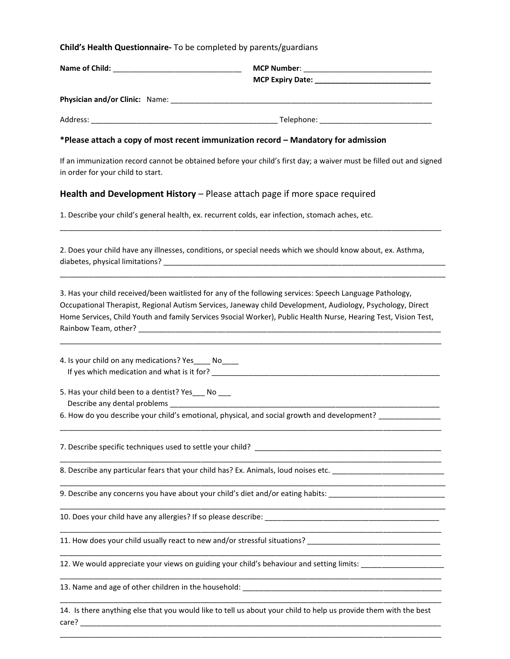#### **Child's Health Questionnaire-** To be completed by parents/guardians

| Name of Child:<br><u> 1980 - Jan Barbarat, manala</u> tar ang kabupatèn Kabupatèn Bandaran Kabupatèn Bandaran Kabupatèn Bandaran Kabupatèn | MCP Number: _________________________________ |
|--------------------------------------------------------------------------------------------------------------------------------------------|-----------------------------------------------|
| <b>Physician and/or Clinic: Name:</b>                                                                                                      |                                               |
| Address:                                                                                                                                   | Telephone:                                    |

#### **\*Please attach a copy of most recent immunization record – Mandatory for admission**

If an immunization record cannot be obtained before your child's first day; a waiver must be filled out and signed in order for your child to start.

\_\_\_\_\_\_\_\_\_\_\_\_\_\_\_\_\_\_\_\_\_\_\_\_\_\_\_\_\_\_\_\_\_\_\_\_\_\_\_\_\_\_\_\_\_\_\_\_\_\_\_\_\_\_\_\_\_\_\_\_\_\_\_\_\_\_\_\_\_\_\_\_\_\_\_\_\_\_\_\_\_\_\_\_\_\_\_\_\_\_\_\_

\_\_\_\_\_\_\_\_\_\_\_\_\_\_\_\_\_\_\_\_\_\_\_\_\_\_\_\_\_\_\_\_\_\_\_\_\_\_\_\_\_\_\_\_\_\_\_\_\_\_\_\_\_\_\_\_\_\_\_\_\_\_\_\_\_\_\_\_\_\_\_\_\_\_\_\_\_\_\_\_\_\_\_\_\_\_\_\_\_\_\_\_\_

## **Health and Development History** – Please attach page if more space required

1. Describe your child's general health, ex. recurrent colds, ear infection, stomach aches, etc.

2. Does your child have any illnesses, conditions, or special needs which we should know about, ex. Asthma, diabetes, physical limitations? **Example 2** and the set of the set of the set of the set of the set of the set of the set of the set of the set of the set of the set of the set of the set of the set of the set of the set o

3. Has your child received/been waitlisted for any of the following services: Speech Language Pathology, Occupational Therapist, Regional Autism Services, Janeway child Development, Audiology, Psychology, Direct Home Services, Child Youth and family Services 9social Worker), Public Health Nurse, Hearing Test, Vision Test, Rainbow Team, other?

\_\_\_\_\_\_\_\_\_\_\_\_\_\_\_\_\_\_\_\_\_\_\_\_\_\_\_\_\_\_\_\_\_\_\_\_\_\_\_\_\_\_\_\_\_\_\_\_\_\_\_\_\_\_\_\_\_\_\_\_\_\_\_\_\_\_\_\_\_\_\_\_\_\_\_\_\_\_\_\_\_\_\_\_\_\_\_\_\_\_\_\_

\_\_\_\_\_\_\_\_\_\_\_\_\_\_\_\_\_\_\_\_\_\_\_\_\_\_\_\_\_\_\_\_\_\_\_\_\_\_\_\_\_\_\_\_\_\_\_\_\_\_\_\_\_\_\_\_\_\_\_\_\_\_\_\_\_\_\_\_\_\_\_\_\_\_\_\_\_\_\_\_\_\_\_\_\_\_\_\_\_\_\_\_

\_\_\_\_\_\_\_\_\_\_\_\_\_\_\_\_\_\_\_\_\_\_\_\_\_\_\_\_\_\_\_\_\_\_\_\_\_\_\_\_\_\_\_\_\_\_\_\_\_\_\_\_\_\_\_\_\_\_\_\_\_\_\_\_\_\_\_\_\_\_\_\_\_\_\_\_\_\_\_\_\_\_\_\_\_\_\_\_\_\_\_\_

\_\_\_\_\_\_\_\_\_\_\_\_\_\_\_\_\_\_\_\_\_\_\_\_\_\_\_\_\_\_\_\_\_\_\_\_\_\_\_\_\_\_\_\_\_\_\_\_\_\_\_\_\_\_\_\_\_\_\_\_\_\_\_\_\_\_\_\_\_\_\_\_\_\_\_\_\_\_\_\_\_\_\_\_\_\_\_\_\_\_\_\_\_

\_\_\_\_\_\_\_\_\_\_\_\_\_\_\_\_\_\_\_\_\_\_\_\_\_\_\_\_\_\_\_\_\_\_\_\_\_\_\_\_\_\_\_\_\_\_\_\_\_\_\_\_\_\_\_\_\_\_\_\_\_\_\_\_\_\_\_\_\_\_\_\_\_\_\_\_\_\_\_\_\_\_\_\_\_\_\_\_\_\_\_\_\_

\_\_\_\_\_\_\_\_\_\_\_\_\_\_\_\_\_\_\_\_\_\_\_\_\_\_\_\_\_\_\_\_\_\_\_\_\_\_\_\_\_\_\_\_\_\_\_\_\_\_\_\_\_\_\_\_\_\_\_\_\_\_\_\_\_\_\_\_\_\_\_\_\_\_\_\_\_\_\_\_\_\_\_\_\_\_\_\_\_\_\_\_

\_\_\_\_\_\_\_\_\_\_\_\_\_\_\_\_\_\_\_\_\_\_\_\_\_\_\_\_\_\_\_\_\_\_\_\_\_\_\_\_\_\_\_\_\_\_\_\_\_\_\_\_\_\_\_\_\_\_\_\_\_\_\_\_\_\_\_\_\_\_\_\_\_\_\_\_\_\_\_\_\_\_\_\_\_\_\_\_\_\_\_\_

\_\_\_\_\_\_\_\_\_\_\_\_\_\_\_\_\_\_\_\_\_\_\_\_\_\_\_\_\_\_\_\_\_\_\_\_\_\_\_\_\_\_\_\_\_\_\_\_\_\_\_\_\_\_\_\_\_\_\_\_\_\_\_\_\_\_\_\_\_\_\_\_\_\_\_\_\_\_\_\_\_\_\_\_\_\_\_\_\_\_\_\_

\_\_\_\_\_\_\_\_\_\_\_\_\_\_\_\_\_\_\_\_\_\_\_\_\_\_\_\_\_\_\_\_\_\_\_\_\_\_\_\_\_\_\_\_\_\_\_\_\_\_\_\_\_\_\_\_\_\_\_\_\_\_\_\_\_\_\_\_\_\_\_\_\_\_\_\_\_\_\_\_\_\_\_\_\_\_\_\_\_\_\_\_

\_\_\_\_\_\_\_\_\_\_\_\_\_\_\_\_\_\_\_\_\_\_\_\_\_\_\_\_\_\_\_\_\_\_\_\_\_\_\_\_\_\_\_\_\_\_\_\_\_\_\_\_\_\_\_\_\_\_\_\_\_\_\_\_\_\_\_\_\_\_\_\_\_\_\_\_\_\_\_\_\_\_\_\_\_\_\_\_\_\_\_\_

4. Is your child on any medications? Yes\_\_\_\_ No\_\_\_\_ If yes which medication and what is it for? \_\_\_\_\_\_\_\_\_\_\_\_\_\_\_\_\_\_\_\_\_\_\_\_\_\_\_\_\_\_\_\_\_\_\_\_\_\_\_\_\_\_\_\_\_\_\_\_\_\_\_\_\_\_\_

5. Has your child been to a dentist? Yes No Describe any dental problems

6. How do you describe your child's emotional, physical, and social growth and development?

7. Describe specific techniques used to settle your child?

8. Describe any particular fears that your child has? Ex. Animals, loud noises etc. \_\_\_\_\_\_\_\_\_\_\_\_\_\_\_\_\_\_\_\_\_\_\_\_\_\_

9. Describe any concerns you have about your child's diet and/or eating habits: \_\_\_\_\_\_\_\_

10. Does your child have any allergies? If so please describe: \_\_\_\_\_\_\_\_\_\_\_\_\_\_\_\_\_\_\_\_\_\_\_\_\_\_\_\_\_\_\_\_\_\_\_\_\_\_\_\_\_\_

11. How does your child usually react to new and/or stressful situations? \_\_\_\_\_\_\_\_\_\_\_\_\_\_\_\_\_\_\_\_\_\_\_\_\_\_\_\_\_\_\_\_

12. We would appreciate your views on guiding your child's behaviour and setting limits:

13. Name and age of other children in the household:

14. Is there anything else that you would like to tell us about your child to help us provide them with the best care?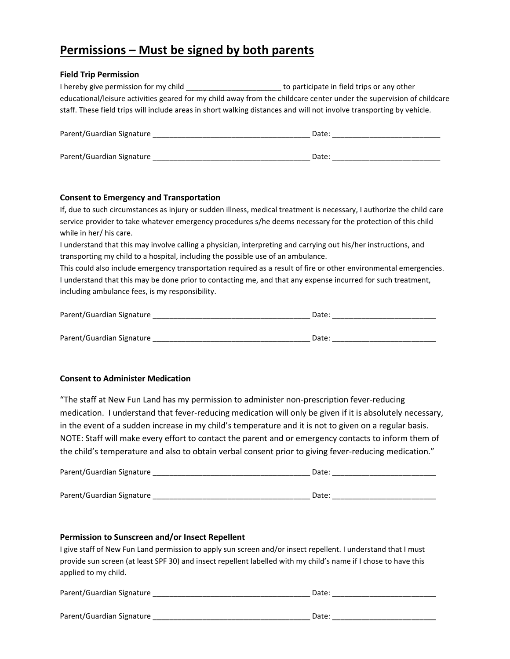# **Permissions – Must be signed by both parents**

## **Field Trip Permission**

| I hereby give permission for my child                                                                                | to participate in field trips or any other                                                                           |
|----------------------------------------------------------------------------------------------------------------------|----------------------------------------------------------------------------------------------------------------------|
|                                                                                                                      | educational/leisure activities geared for my child away from the childcare center under the supervision of childcare |
| staff. These field trips will include areas in short walking distances and will not involve transporting by vehicle. |                                                                                                                      |
| Parent/Guardian Signature                                                                                            | Date:                                                                                                                |

| Parent/Guardian Signature |  |
|---------------------------|--|
|---------------------------|--|

## **Consent to Emergency and Transportation**

If, due to such circumstances as injury or sudden illness, medical treatment is necessary, I authorize the child care service provider to take whatever emergency procedures s/he deems necessary for the protection of this child while in her/ his care.

I understand that this may involve calling a physician, interpreting and carrying out his/her instructions, and transporting my child to a hospital, including the possible use of an ambulance.

This could also include emergency transportation required as a result of fire or other environmental emergencies. I understand that this may be done prior to contacting me, and that any expense incurred for such treatment, including ambulance fees, is my responsibility.

| Parent/Guardian Signature | Date: |
|---------------------------|-------|
|                           |       |
| Parent/Guardian Signature | Date: |

## **Consent to Administer Medication**

"The staff at New Fun Land has my permission to administer non-prescription fever-reducing medication. I understand that fever-reducing medication will only be given if it is absolutely necessary, in the event of a sudden increase in my child's temperature and it is not to given on a regular basis. NOTE: Staff will make every effort to contact the parent and or emergency contacts to inform them of the child's temperature and also to obtain verbal consent prior to giving fever-reducing medication."

| Parent/Guardian Signature | Date: |
|---------------------------|-------|
|                           |       |
| Parent/Guardian Signature | Date: |

### **Permission to Sunscreen and/or Insect Repellent**

I give staff of New Fun Land permission to apply sun screen and/or insect repellent. I understand that I must provide sun screen (at least SPF 30) and insect repellent labelled with my child's name if I chose to have this applied to my child.

| Parent/Guardian Signature |  |
|---------------------------|--|
|                           |  |
|                           |  |

Parent/Guardian Signature \_\_\_\_\_\_\_\_\_\_\_\_\_\_\_\_\_\_\_\_\_\_\_\_\_\_\_\_\_\_\_\_\_\_\_\_\_\_ Date: \_\_\_\_\_\_\_\_\_\_\_\_\_\_\_\_\_\_\_\_\_\_\_\_\_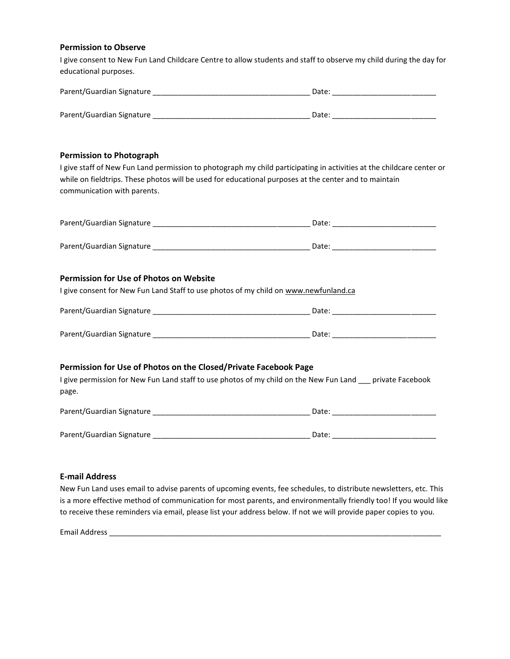#### **Permission to Observe**

I give consent to New Fun Land Childcare Centre to allow students and staff to observe my child during the day for educational purposes.

| Parent/Guardian Signature | Date: |
|---------------------------|-------|
|                           |       |
| Parent/Guardian Signature | Date: |

#### **Permission to Photograph**

I give staff of New Fun Land permission to photograph my child participating in activities at the childcare center or while on fieldtrips. These photos will be used for educational purposes at the center and to maintain communication with parents.

| Parent/Guardian Signature | Date: |
|---------------------------|-------|
|                           |       |
| Parent/Guardian Signature | Date: |

#### **Permission for Use of Photos on Website**

I give consent for New Fun Land Staff to use photos of my child on www.newfunland.ca

| Parent/Guardian Signature | Date |  |
|---------------------------|------|--|
|                           |      |  |
| Parent/Guardian Signature | Date |  |

### **Permission for Use of Photos on the Closed/Private Facebook Page**

I give permission for New Fun Land staff to use photos of my child on the New Fun Land \_\_\_ private Facebook page.

| Parent/Guardian Signature | Date. |
|---------------------------|-------|
|                           |       |
| Parent/Guardian Signature | Date: |
|                           |       |

#### **E-mail Address**

New Fun Land uses email to advise parents of upcoming events, fee schedules, to distribute newsletters, etc. This is a more effective method of communication for most parents, and environmentally friendly too! If you would like to receive these reminders via email, please list your address below. If not we will provide paper copies to you.

Email Address \_\_\_\_\_\_\_\_\_\_\_\_\_\_\_\_\_\_\_\_\_\_\_\_\_\_\_\_\_\_\_\_\_\_\_\_\_\_\_\_\_\_\_\_\_\_\_\_\_\_\_\_\_\_\_\_\_\_\_\_\_\_\_\_\_\_\_\_\_\_\_\_\_\_\_\_\_\_\_\_